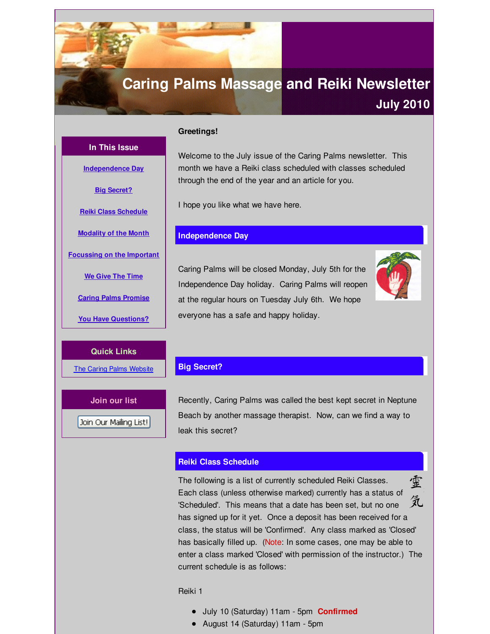# <span id="page-0-0"></span>**Caring Palms Massage and Reiki Newsletter**

# **July 2010**

**In This Issue**

**[Independence](#page-0-0) Day**

**Big [Secret?](#page-0-0)**

**Reiki Class [Schedule](#page-0-0)**

**[Modality](#page-0-0) of the Month**

**[Focussing](#page-0-0) on the Important**

**We Give The [Time](#page-0-0)**

**Caring Palms [Promise](#page-0-0)**

**You Have [Questions?](#page-0-0)**

**Quick Links**

The Caring Palms [Website](http://r20.rs6.net/tn.jsp?f=001y1ltD-1ldJDzDiVwNHG-Es5HooYJqU2RTJRjSvwn_LiyjeQXwVNZuB126ykjyBGGvkmbwLmKAt-dBS9Sfs6eXX0PoLuMTJyQ_RkwnDXyp-iq2k2AhzUwNmQU6QrmDLLIgUZGa1rFDY8OsqmC-Bc_vljQ6iQs654UxNEdhH1PKM1QM3ESPhxEjg==&c=&ch=)

Welcome to the July issue of the Caring Palms newsletter. This month we have a Reiki class scheduled with classes scheduled through the end of the year and an article for you.

I hope you like what we have here.

#### **Independence Day**

**Greetings!**

Caring Palms will be closed Monday, July 5th for the Independence Day holiday. Caring Palms will reopen at the regular hours on Tuesday July 6th. We hope everyone has a safe and happy holiday.



#### **Big Secret?**

**Join our list** Join Our Mailing List! Recently, Caring Palms was called the best kept secret in Neptune Beach by another massage therapist. Now, can we find a way to leak this secret?

### **Reiki Class Schedule**

霊 The following is a list of currently scheduled Reiki Classes. Each class (unless otherwise marked) currently has a status of 気 'Scheduled'. This means that a date has been set, but no one has signed up for it yet. Once a deposit has been received for a class, the status will be 'Confirmed'. Any class marked as 'Closed' has basically filled up. (Note: In some cases, one may be able to enter a class marked 'Closed' with permission of the instructor.) The current schedule is as follows:

Reiki 1

- July 10 (Saturday) 11am 5pm **Confirmed**
- August 14 (Saturday) 11am 5pm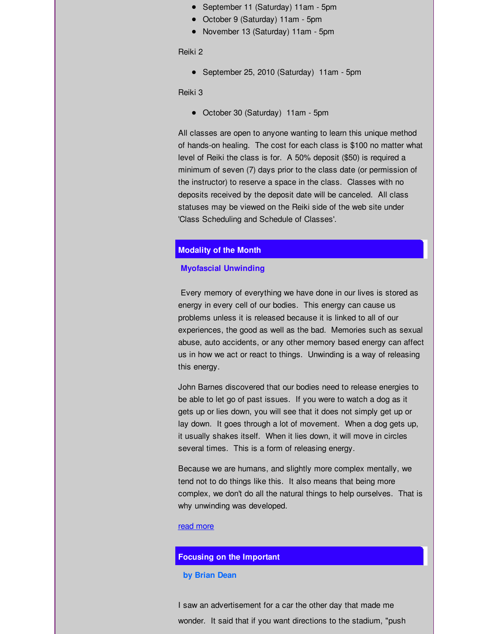- September 11 (Saturday) 11am 5pm
- October 9 (Saturday) 11am 5pm
- November 13 (Saturday) 11am 5pm

Reiki 2

September 25, 2010 (Saturday) 11am - 5pm

Reiki 3

• October 30 (Saturday) 11am - 5pm

All classes are open to anyone wanting to learn this unique method of hands-on healing. The cost for each class is \$100 no matter what level of Reiki the class is for. A 50% deposit (\$50) is required a minimum of seven (7) days prior to the class date (or permission of the instructor) to reserve a space in the class. Classes with no deposits received by the deposit date will be canceled. All class statuses may be viewed on the Reiki side of the web site under 'Class Scheduling and Schedule of Classes'.

#### **Modality of the Month**

#### **Myofascial Unwinding**

Every memory of everything we have done in our lives is stored as energy in every cell of our bodies. This energy can cause us problems unless it is released because it is linked to all of our experiences, the good as well as the bad. Memories such as sexual abuse, auto accidents, or any other memory based energy can affect us in how we act or react to things. Unwinding is a way of releasing this energy.

John Barnes discovered that our bodies need to release energies to be able to let go of past issues. If you were to watch a dog as it gets up or lies down, you will see that it does not simply get up or lay down. It goes through a lot of movement. When a dog gets up, it usually shakes itself. When it lies down, it will move in circles several times. This is a form of releasing energy.

Because we are humans, and slightly more complex mentally, we tend not to do things like this. It also means that being more complex, we don't do all the natural things to help ourselves. That is why unwinding was developed.

#### read [more](http://r20.rs6.net/tn.jsp?f=001y1ltD-1ldJDzDiVwNHG-Es5HooYJqU2RTJRjSvwn_LiyjeQXwVNZuAeDyA43_rIGdE_Ut1My1n0izABArXND42ZVlBAcLyatf4Ms-RlnL6QxN7AcD3JlRQ61KAo4Oxtgmud06RnxQi5soOo-Z9g2hipOUeH1OPBB00Kv2vXXQAt6KjiDFBJdSzab8yv-wZJJwm8Um2N0JK6SUYEmvRf0-Q==&c=&ch=)

#### **Focusing on the Important**

#### **by Brian Dean**

I saw an advertisement for a car the other day that made me wonder. It said that if you want directions to the stadium, "push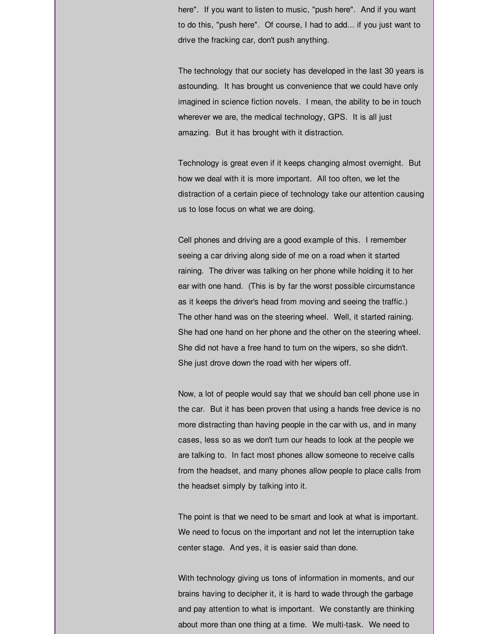here". If you want to listen to music, "push here". And if you want to do this, "push here". Of course, I had to add... if you just want to drive the fracking car, don't push anything.

The technology that our society has developed in the last 30 years is astounding. It has brought us convenience that we could have only imagined in science fiction novels. I mean, the ability to be in touch wherever we are, the medical technology, GPS. It is all just amazing. But it has brought with it distraction.

Technology is great even if it keeps changing almost overnight. But how we deal with it is more important. All too often, we let the distraction of a certain piece of technology take our attention causing us to lose focus on what we are doing.

Cell phones and driving are a good example of this. I remember seeing a car driving along side of me on a road when it started raining. The driver was talking on her phone while holding it to her ear with one hand. (This is by far the worst possible circumstance as it keeps the driver's head from moving and seeing the traffic.) The other hand was on the steering wheel. Well, it started raining. She had one hand on her phone and the other on the steering wheel. She did not have a free hand to turn on the wipers, so she didn't. She just drove down the road with her wipers off.

Now, a lot of people would say that we should ban cell phone use in the car. But it has been proven that using a hands free device is no more distracting than having people in the car with us, and in many cases, less so as we don't turn our heads to look at the people we are talking to. In fact most phones allow someone to receive calls from the headset, and many phones allow people to place calls from the headset simply by talking into it.

The point is that we need to be smart and look at what is important. We need to focus on the important and not let the interruption take center stage. And yes, it is easier said than done.

With technology giving us tons of information in moments, and our brains having to decipher it, it is hard to wade through the garbage and pay attention to what is important. We constantly are thinking about more than one thing at a time. We multi-task. We need to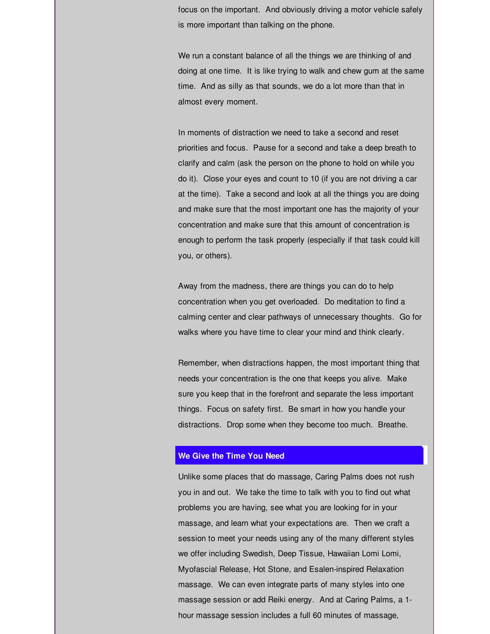focus on the important. And obviously driving a motor vehicle safely is more important than talking on the phone.

We run a constant balance of all the things we are thinking of and doing at one time. It is like trying to walk and chew gum at the same time. And as silly as that sounds, we do a lot more than that in almost every moment.

In moments of distraction we need to take a second and reset priorities and focus. Pause for a second and take a deep breath to clarify and calm (ask the person on the phone to hold on while you do it). Close your eyes and count to 10 (if you are not driving a car at the time). Take a second and look at all the things you are doing and make sure that the most important one has the majority of your concentration and make sure that this amount of concentration is enough to perform the task properly (especially if that task could kill you, or others).

Away from the madness, there are things you can do to help concentration when you get overloaded. Do meditation to find a calming center and clear pathways of unnecessary thoughts. Go for walks where you have time to clear your mind and think clearly.

Remember, when distractions happen, the most important thing that needs your concentration is the one that keeps you alive. Make sure you keep that in the forefront and separate the less important things. Focus on safety first. Be smart in how you handle your distractions. Drop some when they become too much. Breathe.

#### **We Give the Time You Need**

Unlike some places that do massage, Caring Palms does not rush you in and out. We take the time to talk with you to find out what problems you are having, see what you are looking for in your massage, and learn what your expectations are. Then we craft a session to meet your needs using any of the many different styles we offer including Swedish, Deep Tissue, Hawaiian Lomi Lomi, Myofascial Release, Hot Stone, and Esalen-inspired Relaxation massage. We can even integrate parts of many styles into one massage session or add Reiki energy. And at Caring Palms, a 1 hour massage session includes a full 60 minutes of massage,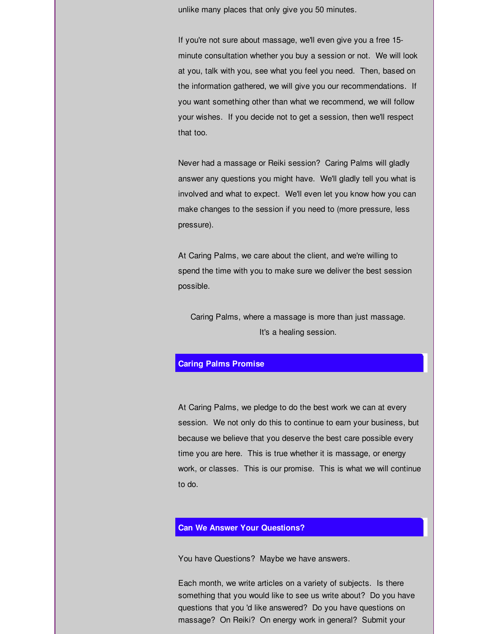unlike many places that only give you 50 minutes.

If you're not sure about massage, we'll even give you a free 15 minute consultation whether you buy a session or not. We will look at you, talk with you, see what you feel you need. Then, based on the information gathered, we will give you our recommendations. If you want something other than what we recommend, we will follow your wishes. If you decide not to get a session, then we'll respect that too.

Never had a massage or Reiki session? Caring Palms will gladly answer any questions you might have. We'll gladly tell you what is involved and what to expect. We'll even let you know how you can make changes to the session if you need to (more pressure, less pressure).

At Caring Palms, we care about the client, and we're willing to spend the time with you to make sure we deliver the best session possible.

Caring Palms, where a massage is more than just massage. It's a healing session.

#### **Caring Palms Promise**

At Caring Palms, we pledge to do the best work we can at every session. We not only do this to continue to earn your business, but because we believe that you deserve the best care possible every time you are here. This is true whether it is massage, or energy work, or classes. This is our promise. This is what we will continue to do.

## **Can We Answer Your Questions?**

You have Questions? Maybe we have answers.

Each month, we write articles on a variety of subjects. Is there something that you would like to see us write about? Do you have questions that you 'd like answered? Do you have questions on massage? On Reiki? On energy work in general? Submit your